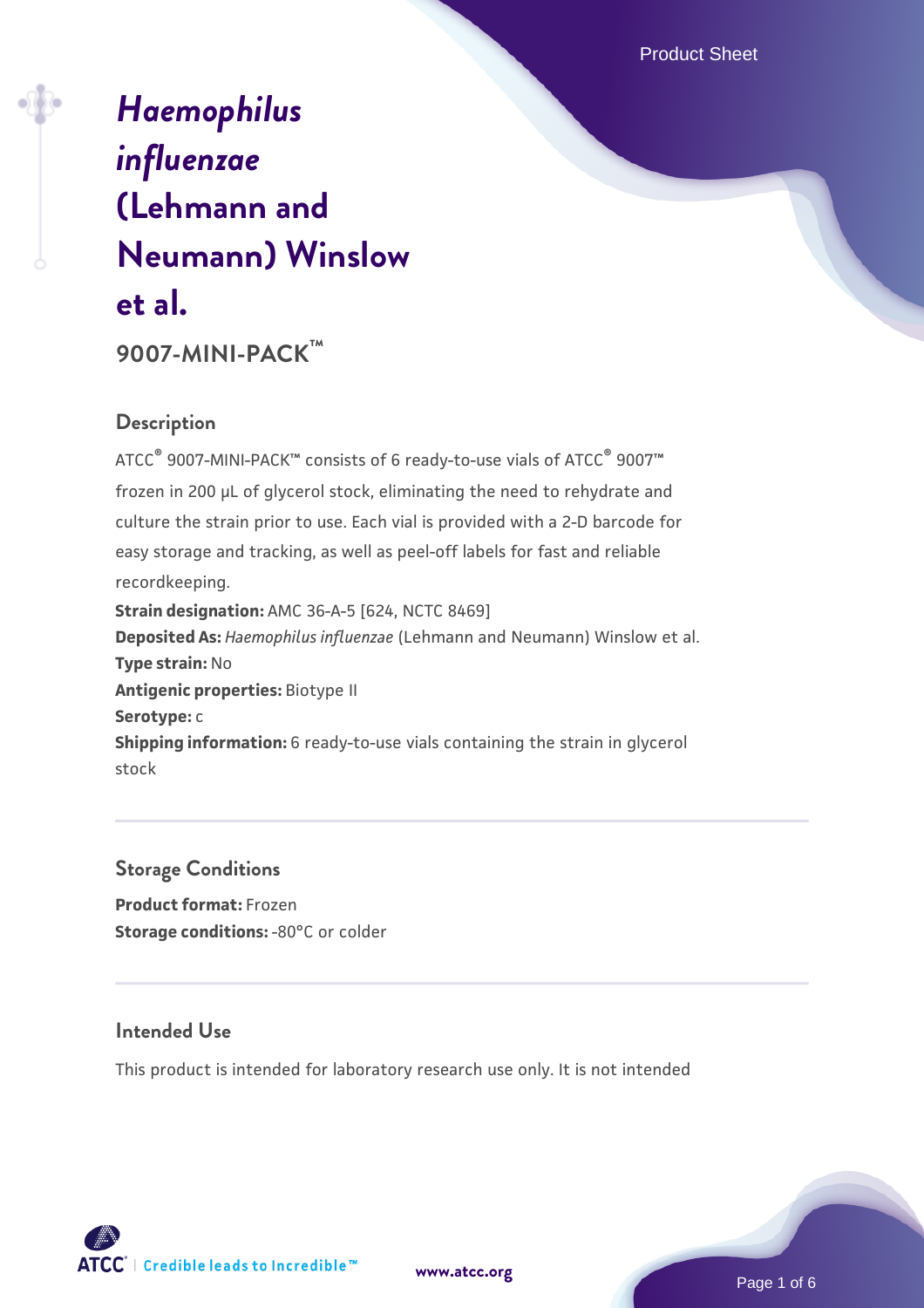# *[Haemophilus](https://www.atcc.org/products/9007-mini-pack) [influenzae](https://www.atcc.org/products/9007-mini-pack)* **[\(Lehmann and](https://www.atcc.org/products/9007-mini-pack) [Neumann\) Winslow](https://www.atcc.org/products/9007-mini-pack) [et al.](https://www.atcc.org/products/9007-mini-pack)**

**9007-MINI-PACK™**

# **Description**

ATCC® 9007-MINI-PACK™ consists of 6 ready-to-use vials of ATCC® 9007™ frozen in 200 µL of glycerol stock, eliminating the need to rehydrate and culture the strain prior to use. Each vial is provided with a 2-D barcode for easy storage and tracking, as well as peel-off labels for fast and reliable recordkeeping. **Strain designation:** AMC 36-A-5 [624, NCTC 8469] **Deposited As:** *Haemophilus influenzae* (Lehmann and Neumann) Winslow et al. **Type strain:** No **Antigenic properties:** Biotype II **Serotype:** c **Shipping information:** 6 ready-to-use vials containing the strain in glycerol stock

#### **Storage Conditions**

**Product format:** Frozen **Storage conditions: -80°C or colder** 

#### **Intended Use**

This product is intended for laboratory research use only. It is not intended





Page 1 of 6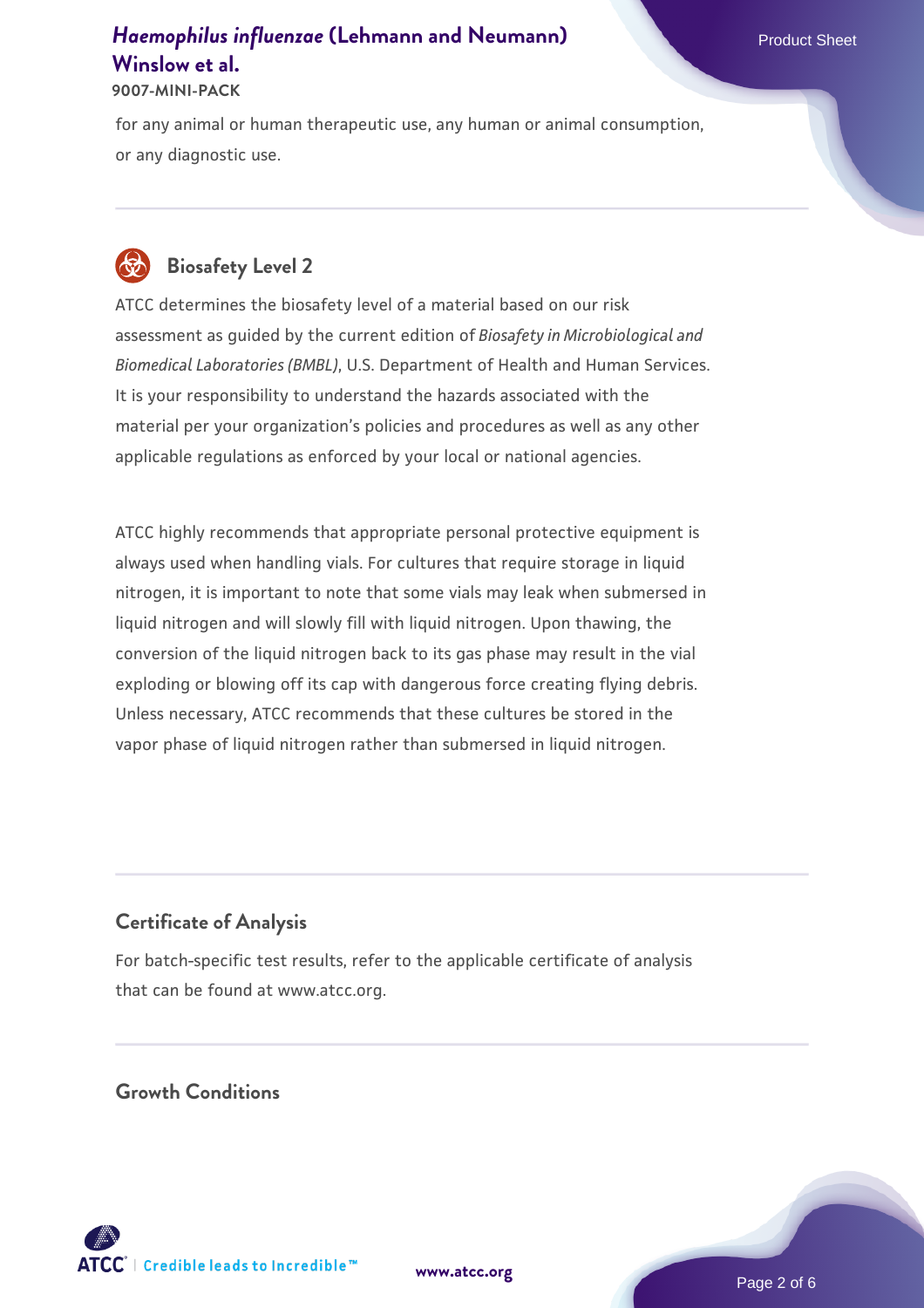**9007-MINI-PACK**

for any animal or human therapeutic use, any human or animal consumption, or any diagnostic use.



# **Biosafety Level 2**

ATCC determines the biosafety level of a material based on our risk assessment as guided by the current edition of *Biosafety in Microbiological and Biomedical Laboratories (BMBL)*, U.S. Department of Health and Human Services. It is your responsibility to understand the hazards associated with the material per your organization's policies and procedures as well as any other applicable regulations as enforced by your local or national agencies.

ATCC highly recommends that appropriate personal protective equipment is always used when handling vials. For cultures that require storage in liquid nitrogen, it is important to note that some vials may leak when submersed in liquid nitrogen and will slowly fill with liquid nitrogen. Upon thawing, the conversion of the liquid nitrogen back to its gas phase may result in the vial exploding or blowing off its cap with dangerous force creating flying debris. Unless necessary, ATCC recommends that these cultures be stored in the vapor phase of liquid nitrogen rather than submersed in liquid nitrogen.

# **Certificate of Analysis**

For batch-specific test results, refer to the applicable certificate of analysis that can be found at www.atcc.org.

## **Growth Conditions**

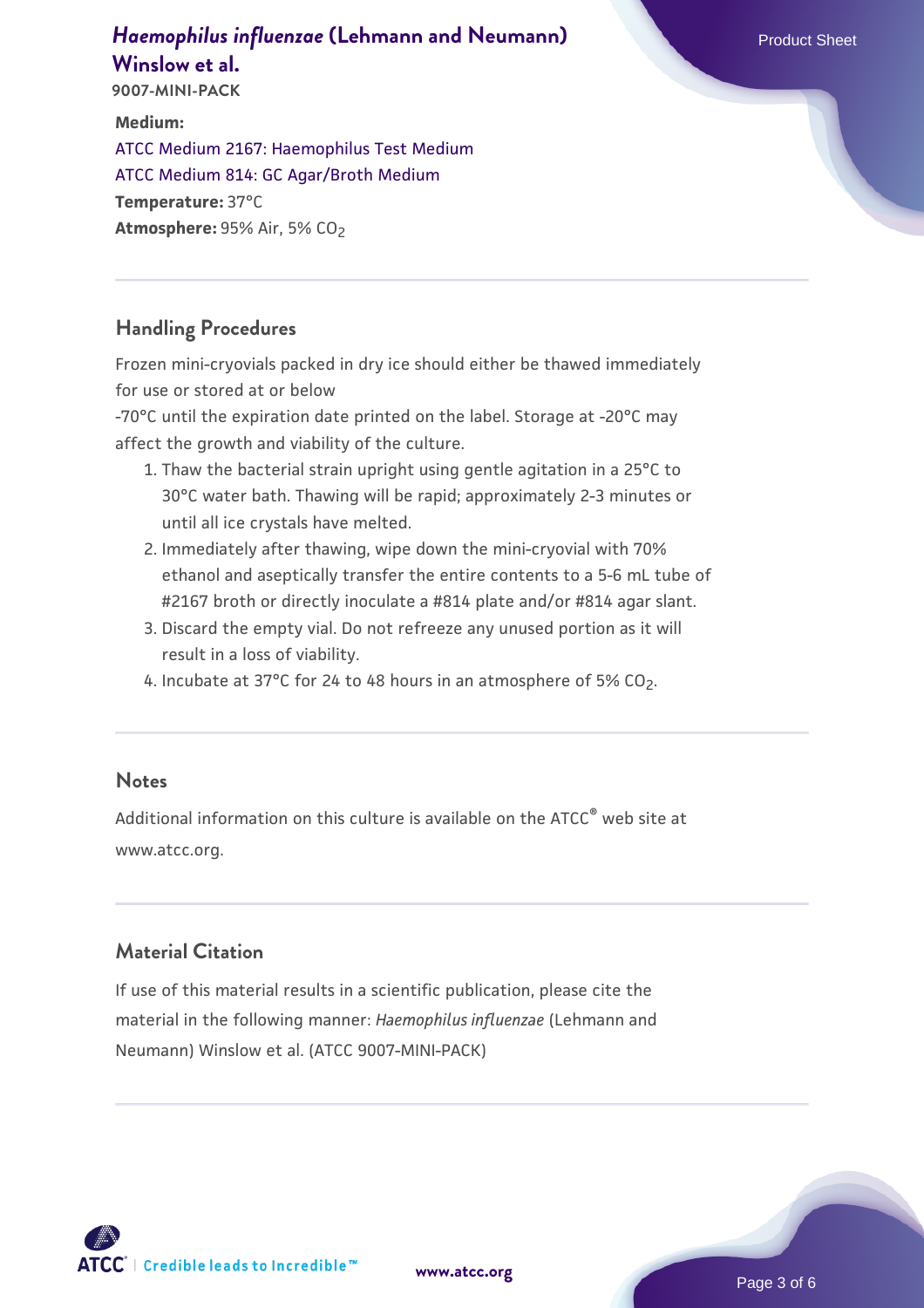**9007-MINI-PACK**

**Medium:**  [ATCC Medium 2167: Haemophilus Test Medium](https://www.atcc.org/-/media/product-assets/documents/microbial-media-formulations/2/1/6/7/atcc-medium-2167.pdf?rev=6b876c9b9c50496589fc818d8f54276b)  [ATCC Medium 814: GC Agar/Broth Medium](https://www.atcc.org/-/media/product-assets/documents/microbial-media-formulations/8/1/4/atcc-medium-814.pdf?rev=35b7a8bd934e4c89ac299828e59c3922) **Temperature:** 37°C **Atmosphere: 95% Air, 5% CO<sub>2</sub>** 

## **Handling Procedures**

Frozen mini-cryovials packed in dry ice should either be thawed immediately for use or stored at or below

-70°C until the expiration date printed on the label. Storage at -20°C may affect the growth and viability of the culture.

- 1. Thaw the bacterial strain upright using gentle agitation in a 25°C to 30°C water bath. Thawing will be rapid; approximately 2-3 minutes or until all ice crystals have melted.
- 2. Immediately after thawing, wipe down the mini-cryovial with 70% ethanol and aseptically transfer the entire contents to a 5-6 mL tube of #2167 broth or directly inoculate a #814 plate and/or #814 agar slant.
- 3. Discard the empty vial. Do not refreeze any unused portion as it will result in a loss of viability.
- 4. Incubate at 37°C for 24 to 48 hours in an atmosphere of 5% CO<sub>2</sub>.

#### **Notes**

Additional information on this culture is available on the ATCC® web site at www.atcc.org.

# **Material Citation**

If use of this material results in a scientific publication, please cite the material in the following manner: *Haemophilus influenzae* (Lehmann and Neumann) Winslow et al. (ATCC 9007-MINI-PACK)

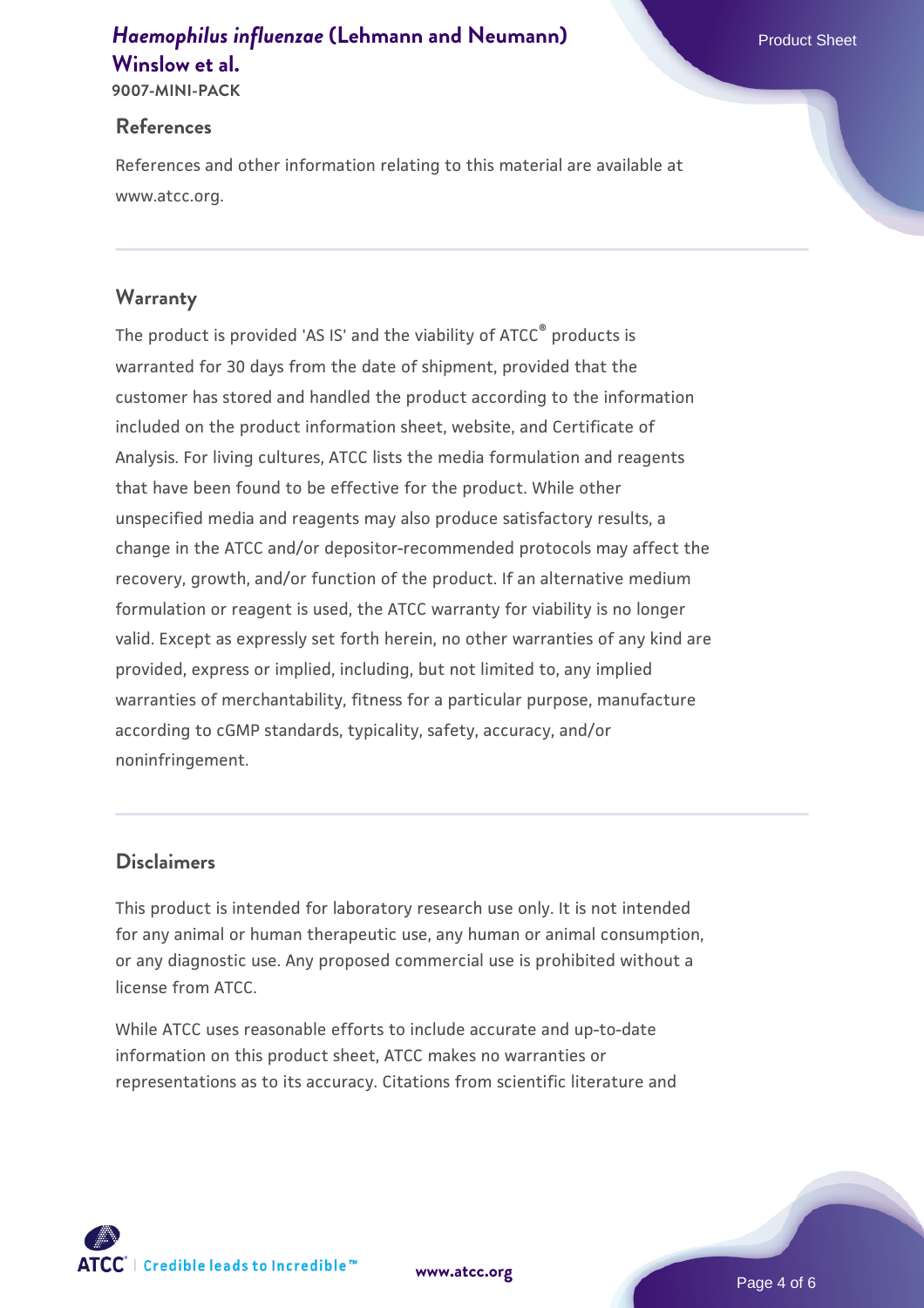**9007-MINI-PACK**

#### **References**

References and other information relating to this material are available at www.atcc.org.

## **Warranty**

The product is provided 'AS IS' and the viability of ATCC® products is warranted for 30 days from the date of shipment, provided that the customer has stored and handled the product according to the information included on the product information sheet, website, and Certificate of Analysis. For living cultures, ATCC lists the media formulation and reagents that have been found to be effective for the product. While other unspecified media and reagents may also produce satisfactory results, a change in the ATCC and/or depositor-recommended protocols may affect the recovery, growth, and/or function of the product. If an alternative medium formulation or reagent is used, the ATCC warranty for viability is no longer valid. Except as expressly set forth herein, no other warranties of any kind are provided, express or implied, including, but not limited to, any implied warranties of merchantability, fitness for a particular purpose, manufacture according to cGMP standards, typicality, safety, accuracy, and/or noninfringement.

## **Disclaimers**

This product is intended for laboratory research use only. It is not intended for any animal or human therapeutic use, any human or animal consumption, or any diagnostic use. Any proposed commercial use is prohibited without a license from ATCC.

While ATCC uses reasonable efforts to include accurate and up-to-date information on this product sheet, ATCC makes no warranties or representations as to its accuracy. Citations from scientific literature and

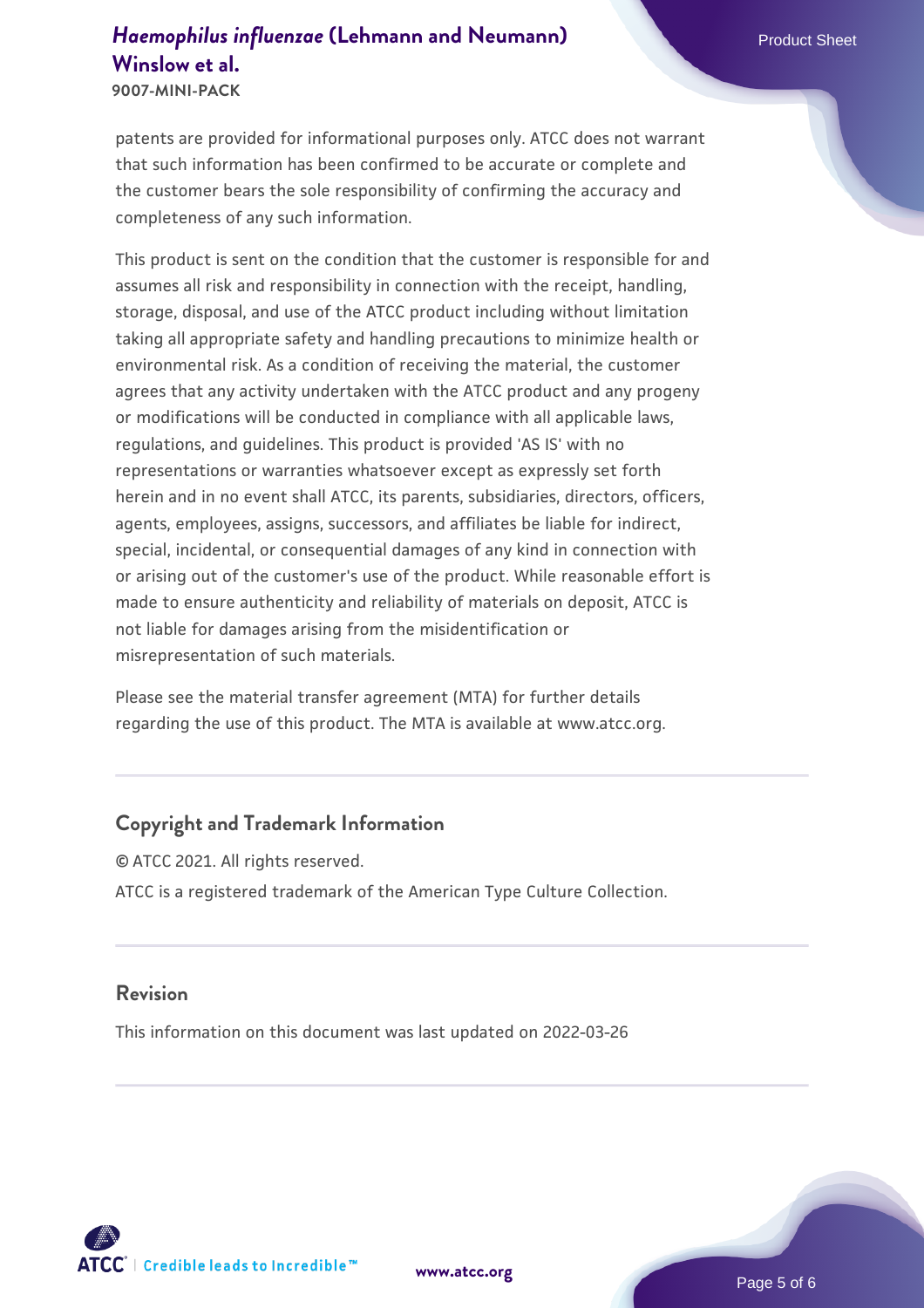**9007-MINI-PACK**

patents are provided for informational purposes only. ATCC does not warrant that such information has been confirmed to be accurate or complete and the customer bears the sole responsibility of confirming the accuracy and completeness of any such information.

This product is sent on the condition that the customer is responsible for and assumes all risk and responsibility in connection with the receipt, handling, storage, disposal, and use of the ATCC product including without limitation taking all appropriate safety and handling precautions to minimize health or environmental risk. As a condition of receiving the material, the customer agrees that any activity undertaken with the ATCC product and any progeny or modifications will be conducted in compliance with all applicable laws, regulations, and guidelines. This product is provided 'AS IS' with no representations or warranties whatsoever except as expressly set forth herein and in no event shall ATCC, its parents, subsidiaries, directors, officers, agents, employees, assigns, successors, and affiliates be liable for indirect, special, incidental, or consequential damages of any kind in connection with or arising out of the customer's use of the product. While reasonable effort is made to ensure authenticity and reliability of materials on deposit, ATCC is not liable for damages arising from the misidentification or misrepresentation of such materials.

Please see the material transfer agreement (MTA) for further details regarding the use of this product. The MTA is available at www.atcc.org.

#### **Copyright and Trademark Information**

© ATCC 2021. All rights reserved. ATCC is a registered trademark of the American Type Culture Collection.

#### **Revision**

This information on this document was last updated on 2022-03-26